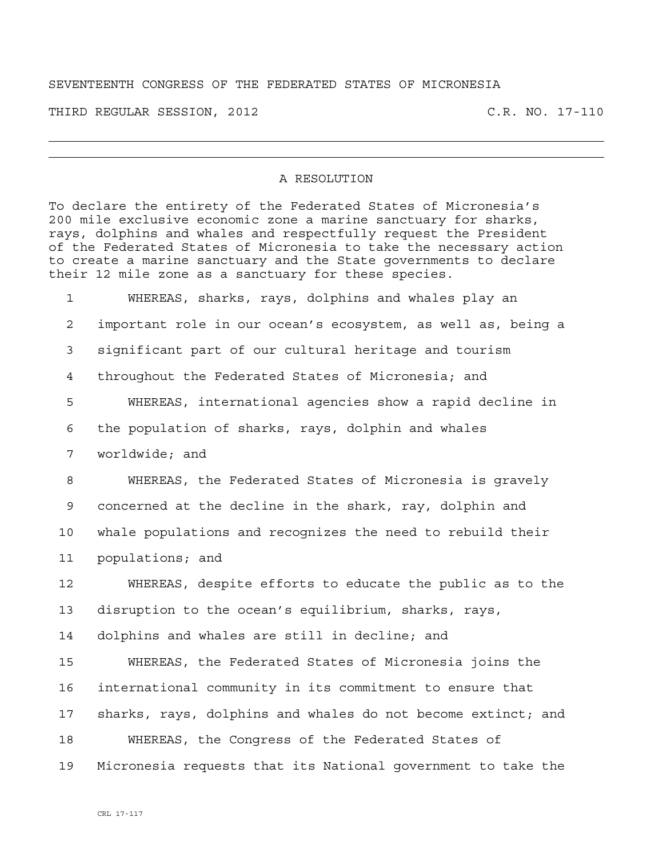## SEVENTEENTH CONGRESS OF THE FEDERATED STATES OF MICRONESIA

THIRD REGULAR SESSION, 2012 C.R. NO. 17-110

## A RESOLUTION

To declare the entirety of the Federated States of Micronesia's 200 mile exclusive economic zone a marine sanctuary for sharks, rays, dolphins and whales and respectfully request the President of the Federated States of Micronesia to take the necessary action to create a marine sanctuary and the State governments to declare their 12 mile zone as a sanctuary for these species.

1 WHEREAS, sharks, rays, dolphins and whales play an 2 important role in our ocean's ecosystem, as well as, being a 3 significant part of our cultural heritage and tourism 4 throughout the Federated States of Micronesia; and 5 WHEREAS, international agencies show a rapid decline in 6 the population of sharks, rays, dolphin and whales 7 worldwide; and 8 WHEREAS, the Federated States of Micronesia is gravely 9 concerned at the decline in the shark, ray, dolphin and 10 whale populations and recognizes the need to rebuild their 11 populations; and 12 WHEREAS, despite efforts to educate the public as to the 13 disruption to the ocean's equilibrium, sharks, rays, 14 dolphins and whales are still in decline; and 15 WHEREAS, the Federated States of Micronesia joins the 16 international community in its commitment to ensure that 17 sharks, rays, dolphins and whales do not become extinct; and 18 WHEREAS, the Congress of the Federated States of 19 Micronesia requests that its National government to take the